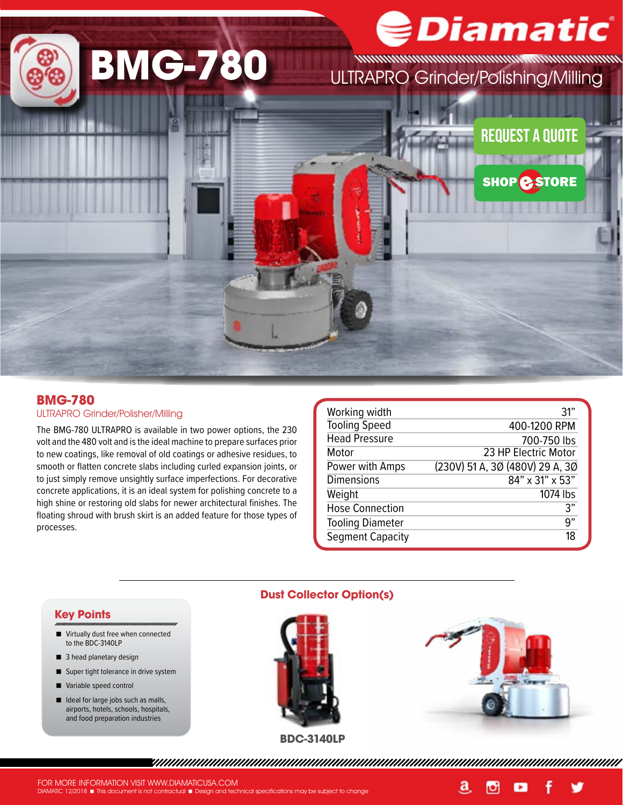

### **BMG-780**

#### ULTRAPRO Grinder/Polisher/Milling

The BMG-780 ULTRAPRO is available in two power options, the 230 volt and the 480 volt and is the ideal machine to prepare surfaces prior to new coatings, like removal of old coatings or adhesive residues, to smooth or flatten concrete slabs including curled expansion joints, or to just simply remove unsightly surface imperfections. For decorative concrete applications, it is an ideal system for polishing concrete to a high shine or restoring old slabs for newer architectural finishes. The floating shroud with brush skirt is an added feature for those types of processes.

| Working width<br><b>Tooling Speed</b><br><b>Head Pressure</b><br>Motor<br>Power with Amps<br><b>Dimensions</b><br>Weight | 31"<br>400-1200 RPM<br>700-750 lbs<br>23 HP Electric Motor<br>(230V) 51 A, 3Ø (480V) 29 A, 3Ø<br>$84" \times 31" \times 53"$<br>1074 lbs |
|--------------------------------------------------------------------------------------------------------------------------|------------------------------------------------------------------------------------------------------------------------------------------|
| <b>Hose Connection</b>                                                                                                   | 3"                                                                                                                                       |
| <b>Tooling Diameter</b>                                                                                                  | 9"                                                                                                                                       |
| <b>Segment Capacity</b>                                                                                                  | 18                                                                                                                                       |

#### **Key Points**

- Virtually dust free when connected to the BDC-3140LP
- 3 head planetary design
- Super tight tolerance in drive system
- Variable speed control
- I Ideal for large jobs such as malls, airports, hotels, schools, hospitals, and food preparation industries

### **Dust Collector Option(s)**





a,

Ю